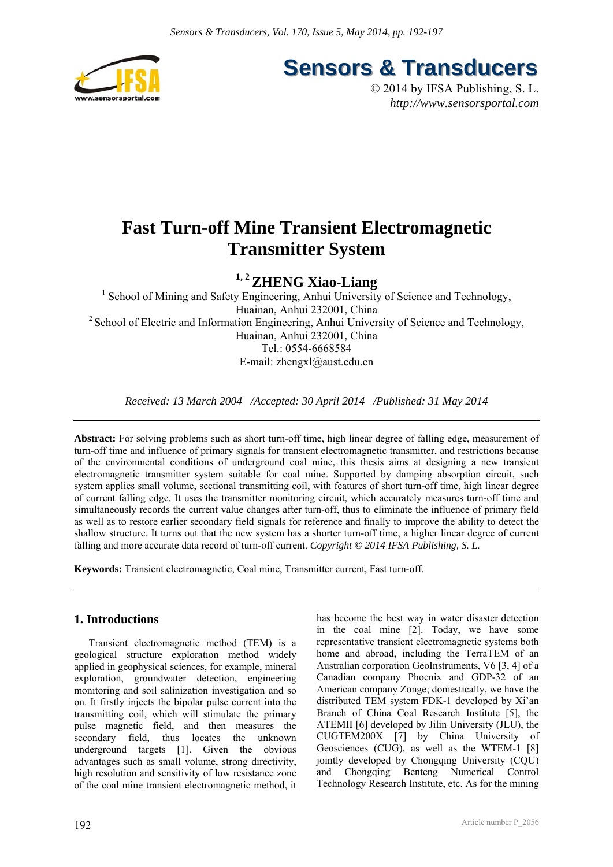

**Sensors & Transducers** 

© 2014 by IFSA Publishing, S. L. *http://www.sensorsportal.com*

# **Fast Turn-off Mine Transient Electromagnetic Transmitter System**

## **1, 2 ZHENG Xiao-Liang**

<sup>1</sup> School of Mining and Safety Engineering, Anhui University of Science and Technology, Huainan, Anhui 232001, China <sup>2</sup> School of Electric and Information Engineering, Anhui University of Science and Technology, Huainan, Anhui 232001, China Tel.: 0554-6668584 E-mail: zhengxl@aust.edu.cn

*Received: 13 March 2004 /Accepted: 30 April 2014 /Published: 31 May 2014* 

**Abstract:** For solving problems such as short turn-off time, high linear degree of falling edge, measurement of turn-off time and influence of primary signals for transient electromagnetic transmitter, and restrictions because of the environmental conditions of underground coal mine, this thesis aims at designing a new transient electromagnetic transmitter system suitable for coal mine. Supported by damping absorption circuit, such system applies small volume, sectional transmitting coil, with features of short turn-off time, high linear degree of current falling edge. It uses the transmitter monitoring circuit, which accurately measures turn-off time and simultaneously records the current value changes after turn-off, thus to eliminate the influence of primary field as well as to restore earlier secondary field signals for reference and finally to improve the ability to detect the shallow structure. It turns out that the new system has a shorter turn-off time, a higher linear degree of current falling and more accurate data record of turn-off current. *Copyright © 2014 IFSA Publishing, S. L.*

**Keywords:** Transient electromagnetic, Coal mine, Transmitter current, Fast turn-off.

### **1. Introductions**

Transient electromagnetic method (TEM) is a geological structure exploration method widely applied in geophysical sciences, for example, mineral exploration, groundwater detection, engineering monitoring and soil salinization investigation and so on. It firstly injects the bipolar pulse current into the transmitting coil, which will stimulate the primary pulse magnetic field, and then measures the secondary field, thus locates the unknown underground targets [1]. Given the obvious advantages such as small volume, strong directivity, high resolution and sensitivity of low resistance zone of the coal mine transient electromagnetic method, it has become the best way in water disaster detection in the coal mine [2]. Today, we have some representative transient electromagnetic systems both home and abroad, including the TerraTEM of an Australian corporation GeoInstruments, V6 [3, 4] of a Canadian company Phoenix and GDP-32 of an American company Zonge; domestically, we have the distributed TEM system FDK-1 developed by Xi'an Branch of China Coal Research Institute [5], the ATEMII [6] developed by Jilin University (JLU), the CUGTEM200X [7] by China University of Geosciences (CUG), as well as the WTEM-1 [8] jointly developed by Chongqing University (CQU) and Chongqing Benteng Numerical Control Technology Research Institute, etc. As for the mining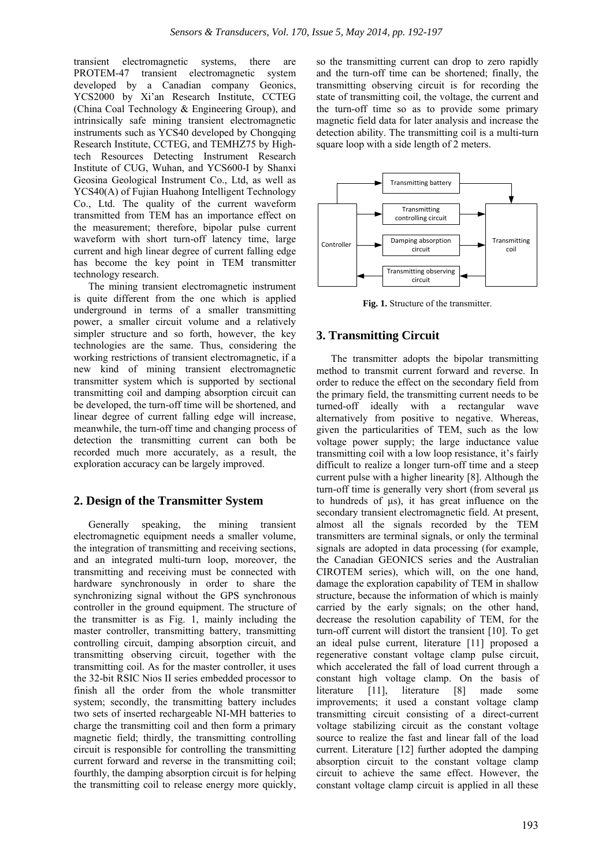transient electromagnetic systems, there are PROTEM-47 transient electromagnetic system developed by a Canadian company Geonics, YCS2000 by Xi'an Research Institute, CCTEG (China Coal Technology & Engineering Group), and intrinsically safe mining transient electromagnetic instruments such as YCS40 developed by Chongqing Research Institute, CCTEG, and TEMHZ75 by Hightech Resources Detecting Instrument Research Institute of CUG, Wuhan, and YCS600-I by Shanxi Geosina Geological Instrument Co., Ltd, as well as YCS40(A) of Fujian Huahong Intelligent Technology Co., Ltd. The quality of the current waveform transmitted from TEM has an importance effect on the measurement; therefore, bipolar pulse current waveform with short turn-off latency time, large current and high linear degree of current falling edge has become the key point in TEM transmitter technology research.

The mining transient electromagnetic instrument is quite different from the one which is applied underground in terms of a smaller transmitting power, a smaller circuit volume and a relatively simpler structure and so forth, however, the key technologies are the same. Thus, considering the working restrictions of transient electromagnetic, if a new kind of mining transient electromagnetic transmitter system which is supported by sectional transmitting coil and damping absorption circuit can be developed, the turn-off time will be shortened, and linear degree of current falling edge will increase, meanwhile, the turn-off time and changing process of detection the transmitting current can both be recorded much more accurately, as a result, the exploration accuracy can be largely improved.

#### **2. Design of the Transmitter System**

Generally speaking, the mining transient electromagnetic equipment needs a smaller volume, the integration of transmitting and receiving sections, and an integrated multi-turn loop, moreover, the transmitting and receiving must be connected with hardware synchronously in order to share the synchronizing signal without the GPS synchronous controller in the ground equipment. The structure of the transmitter is as Fig. 1, mainly including the master controller, transmitting battery, transmitting controlling circuit, damping absorption circuit, and transmitting observing circuit, together with the transmitting coil. As for the master controller, it uses the 32-bit RSIC Nios II series embedded processor to finish all the order from the whole transmitter system; secondly, the transmitting battery includes two sets of inserted rechargeable NI-MH batteries to charge the transmitting coil and then form a primary magnetic field; thirdly, the transmitting controlling circuit is responsible for controlling the transmitting current forward and reverse in the transmitting coil; fourthly, the damping absorption circuit is for helping the transmitting coil to release energy more quickly, so the transmitting current can drop to zero rapidly and the turn-off time can be shortened; finally, the transmitting observing circuit is for recording the state of transmitting coil, the voltage, the current and the turn-off time so as to provide some primary magnetic field data for later analysis and increase the detection ability. The transmitting coil is a multi-turn square loop with a side length of 2 meters.



**Fig. 1.** Structure of the transmitter.

#### **3. Transmitting Circuit**

The transmitter adopts the bipolar transmitting method to transmit current forward and reverse. In order to reduce the effect on the secondary field from the primary field, the transmitting current needs to be turned-off ideally with a rectangular wave alternatively from positive to negative. Whereas, given the particularities of TEM, such as the low voltage power supply; the large inductance value transmitting coil with a low loop resistance, it's fairly difficult to realize a longer turn-off time and a steep current pulse with a higher linearity [8]. Although the turn-off time is generally very short (from several μs to hundreds of μs), it has great influence on the secondary transient electromagnetic field. At present, almost all the signals recorded by the TEM transmitters are terminal signals, or only the terminal signals are adopted in data processing (for example, the Canadian GEONICS series and the Australian CIROTEM series), which will, on the one hand, damage the exploration capability of TEM in shallow structure, because the information of which is mainly carried by the early signals; on the other hand, decrease the resolution capability of TEM, for the turn-off current will distort the transient [10]. To get an ideal pulse current, literature [11] proposed a regenerative constant voltage clamp pulse circuit, which accelerated the fall of load current through a constant high voltage clamp. On the basis of literature [11], literature [8] made some improvements; it used a constant voltage clamp transmitting circuit consisting of a direct-current voltage stabilizing circuit as the constant voltage source to realize the fast and linear fall of the load current. Literature [12] further adopted the damping absorption circuit to the constant voltage clamp circuit to achieve the same effect. However, the constant voltage clamp circuit is applied in all these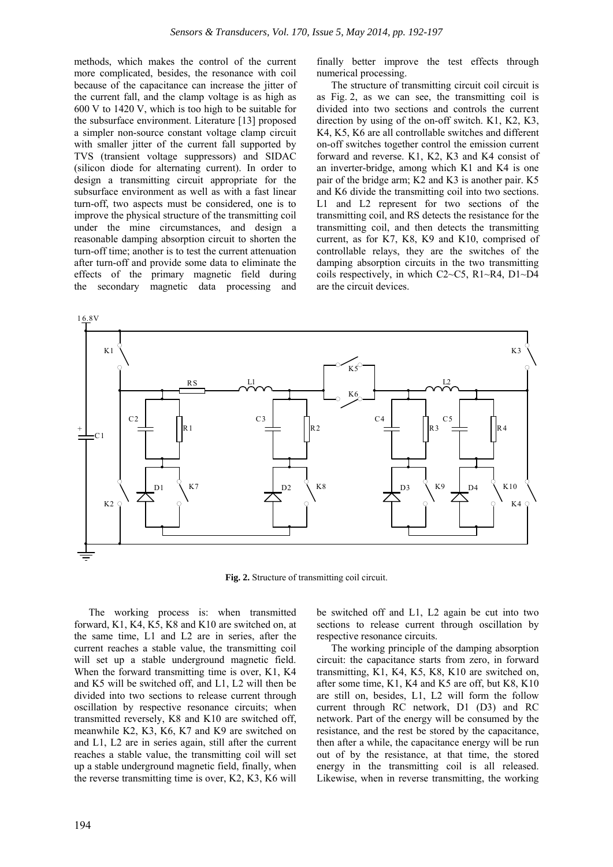methods, which makes the control of the current more complicated, besides, the resonance with coil because of the capacitance can increase the jitter of the current fall, and the clamp voltage is as high as 600 V to 1420 V, which is too high to be suitable for the subsurface environment. Literature [13] proposed a simpler non-source constant voltage clamp circuit with smaller jitter of the current fall supported by TVS (transient voltage suppressors) and SIDAC (silicon diode for alternating current). In order to design a transmitting circuit appropriate for the subsurface environment as well as with a fast linear turn-off, two aspects must be considered, one is to improve the physical structure of the transmitting coil under the mine circumstances, and design a reasonable damping absorption circuit to shorten the turn-off time; another is to test the current attenuation after turn-off and provide some data to eliminate the effects of the primary magnetic field during the secondary magnetic data processing and

finally better improve the test effects through numerical processing.

The structure of transmitting circuit coil circuit is as Fig. 2, as we can see, the transmitting coil is divided into two sections and controls the current direction by using of the on-off switch. K1, K2, K3, K4, K5, K6 are all controllable switches and different on-off switches together control the emission current forward and reverse. K1, K2, K3 and K4 consist of an inverter-bridge, among which K1 and K4 is one pair of the bridge arm; K2 and K3 is another pair. K5 and K6 divide the transmitting coil into two sections. L1 and L2 represent for two sections of the transmitting coil, and RS detects the resistance for the transmitting coil, and then detects the transmitting current, as for K7, K8, K9 and K10, comprised of controllable relays, they are the switches of the damping absorption circuits in the two transmitting coils respectively, in which C2~C5, R1~R4, D1~D4 are the circuit devices.



**Fig. 2.** Structure of transmitting coil circuit.

The working process is: when transmitted forward, K1, K4, K5, K8 and K10 are switched on, at the same time, L1 and L2 are in series, after the current reaches a stable value, the transmitting coil will set up a stable underground magnetic field. When the forward transmitting time is over, K1, K4 and K5 will be switched off, and L1, L2 will then be divided into two sections to release current through oscillation by respective resonance circuits; when transmitted reversely, K8 and K10 are switched off, meanwhile K2, K3, K6, K7 and K9 are switched on and L1, L2 are in series again, still after the current reaches a stable value, the transmitting coil will set up a stable underground magnetic field, finally, when the reverse transmitting time is over, K2, K3, K6 will

be switched off and L1, L2 again be cut into two sections to release current through oscillation by respective resonance circuits.

The working principle of the damping absorption circuit: the capacitance starts from zero, in forward transmitting, K1, K4, K5, K8, K10 are switched on, after some time, K1, K4 and K5 are off, but K8, K10 are still on, besides, L1, L2 will form the follow current through RC network, D1 (D3) and RC network. Part of the energy will be consumed by the resistance, and the rest be stored by the capacitance, then after a while, the capacitance energy will be run out of by the resistance, at that time, the stored energy in the transmitting coil is all released. Likewise, when in reverse transmitting, the working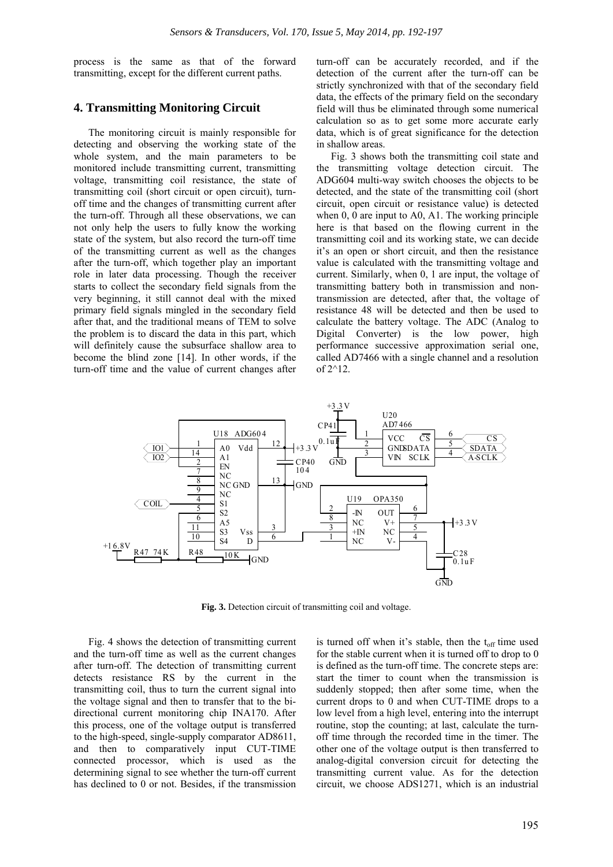process is the same as that of the forward transmitting, except for the different current paths.

#### **4. Transmitting Monitoring Circuit**

The monitoring circuit is mainly responsible for detecting and observing the working state of the whole system, and the main parameters to be monitored include transmitting current, transmitting voltage, transmitting coil resistance, the state of transmitting coil (short circuit or open circuit), turnoff time and the changes of transmitting current after the turn-off. Through all these observations, we can not only help the users to fully know the working state of the system, but also record the turn-off time of the transmitting current as well as the changes after the turn-off, which together play an important role in later data processing. Though the receiver starts to collect the secondary field signals from the very beginning, it still cannot deal with the mixed primary field signals mingled in the secondary field after that, and the traditional means of TEM to solve the problem is to discard the data in this part, which will definitely cause the subsurface shallow area to become the blind zone [14]. In other words, if the turn-off time and the value of current changes after

turn-off can be accurately recorded, and if the detection of the current after the turn-off can be strictly synchronized with that of the secondary field data, the effects of the primary field on the secondary field will thus be eliminated through some numerical calculation so as to get some more accurate early data, which is of great significance for the detection in shallow areas.

Fig. 3 shows both the transmitting coil state and the transmitting voltage detection circuit. The ADG604 multi-way switch chooses the objects to be detected, and the state of the transmitting coil (short circuit, open circuit or resistance value) is detected when 0, 0 are input to A0, A1. The working principle here is that based on the flowing current in the transmitting coil and its working state, we can decide it's an open or short circuit, and then the resistance value is calculated with the transmitting voltage and current. Similarly, when 0, 1 are input, the voltage of transmitting battery both in transmission and nontransmission are detected, after that, the voltage of resistance 48 will be detected and then be used to calculate the battery voltage. The ADC (Analog to Digital Converter) is the low power, high performance successive approximation serial one, called AD7466 with a single channel and a resolution of 2^12.



**Fig. 3.** Detection circuit of transmitting coil and voltage.

Fig. 4 shows the detection of transmitting current and the turn-off time as well as the current changes after turn-off. The detection of transmitting current detects resistance RS by the current in the transmitting coil, thus to turn the current signal into the voltage signal and then to transfer that to the bidirectional current monitoring chip INA170. After this process, one of the voltage output is transferred to the high-speed, single-supply comparator AD8611, and then to comparatively input CUT-TIME connected processor, which is used as the determining signal to see whether the turn-off current has declined to 0 or not. Besides, if the transmission

is turned off when it's stable, then the  $t_{off}$  time used for the stable current when it is turned off to drop to 0 is defined as the turn-off time. The concrete steps are: start the timer to count when the transmission is suddenly stopped; then after some time, when the current drops to 0 and when CUT-TIME drops to a low level from a high level, entering into the interrupt routine, stop the counting; at last, calculate the turnoff time through the recorded time in the timer. The other one of the voltage output is then transferred to analog-digital conversion circuit for detecting the transmitting current value. As for the detection circuit, we choose ADS1271, which is an industrial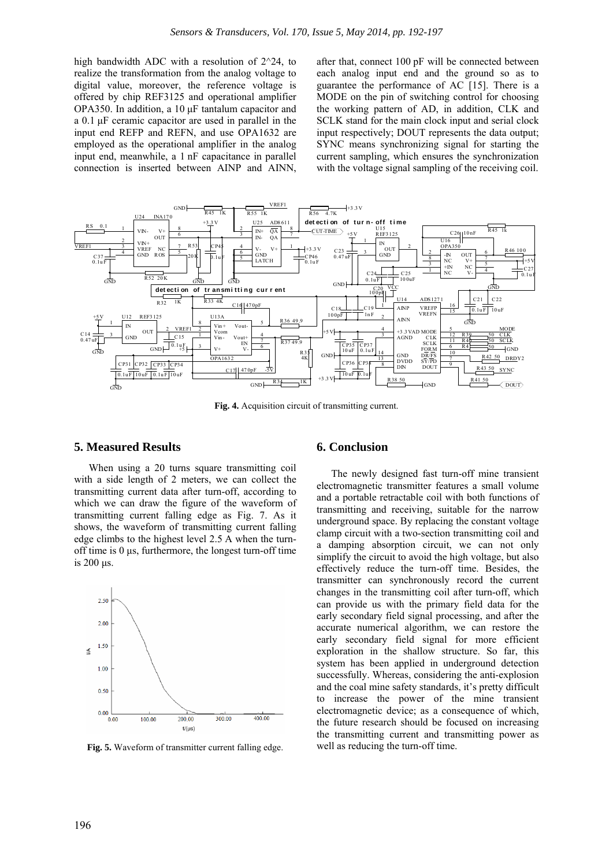high bandwidth ADC with a resolution of 2^24, to realize the transformation from the analog voltage to digital value, moreover, the reference voltage is offered by chip REF3125 and operational amplifier OPA350. In addition, a 10 μF tantalum capacitor and a 0.1 μF ceramic capacitor are used in parallel in the input end REFP and REFN, and use OPA1632 are employed as the operational amplifier in the analog input end, meanwhile, a 1 nF capacitance in parallel connection is inserted between AINP and AINN,

after that, connect 100 pF will be connected between each analog input end and the ground so as to guarantee the performance of AC [15]. There is a MODE on the pin of switching control for choosing the working pattern of AD, in addition, CLK and SCLK stand for the main clock input and serial clock input respectively; DOUT represents the data output; SYNC means synchronizing signal for starting the current sampling, which ensures the synchronization with the voltage signal sampling of the receiving coil.



**Fig. 4.** Acquisition circuit of transmitting current.

#### **5. Measured Results**

When using a 20 turns square transmitting coil with a side length of 2 meters, we can collect the transmitting current data after turn-off, according to which we can draw the figure of the waveform of transmitting current falling edge as Fig. 7. As it shows, the waveform of transmitting current falling edge climbs to the highest level 2.5 A when the turnoff time is 0 μs, furthermore, the longest turn-off time is 200 μs.



Fig. 5. Waveform of transmitter current falling edge.

#### **6. Conclusion**

The newly designed fast turn-off mine transient electromagnetic transmitter features a small volume and a portable retractable coil with both functions of transmitting and receiving, suitable for the narrow underground space. By replacing the constant voltage clamp circuit with a two-section transmitting coil and a damping absorption circuit, we can not only simplify the circuit to avoid the high voltage, but also effectively reduce the turn-off time. Besides, the transmitter can synchronously record the current changes in the transmitting coil after turn-off, which can provide us with the primary field data for the early secondary field signal processing, and after the accurate numerical algorithm, we can restore the early secondary field signal for more efficient exploration in the shallow structure. So far, this system has been applied in underground detection successfully. Whereas, considering the anti-explosion and the coal mine safety standards, it's pretty difficult to increase the power of the mine transient electromagnetic device; as a consequence of which, the future research should be focused on increasing the transmitting current and transmitting power as well as reducing the turn-off time.